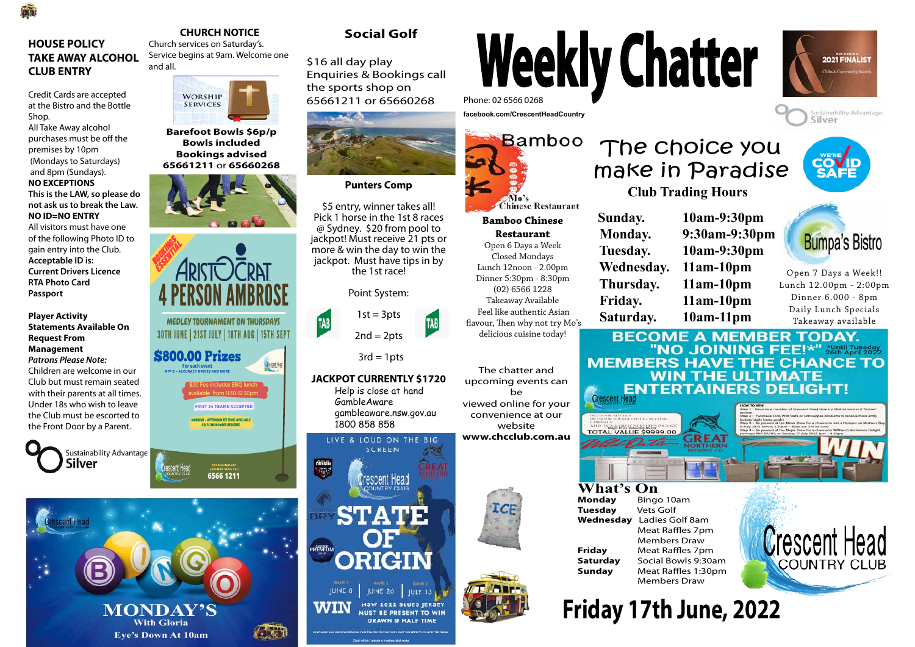### **CHURCH NOTICE**

Church services on Saturday's. Service begins at 9am. Welcome one and all.



### **HOUSE POLICY TAKE AWAY ALCOHOL CLUB ENTRY**

A.

Credit Cards are accepted at the Bistro and the Bottle Shop.

All Take Away alcohol purchases must be off the premises by 10pm (Mondays to Saturdays) and 8pm (Sundays).

#### **NO EXCEPTIONS**

**This is the LAW, so please do not ask us to break the Law. NO ID=NO ENTRY**

All visitors must have one of the following Photo ID to gain entry into the Club. **Acceptable ID is: Current Drivers Licence RTA Photo Card Passport**

#### **Player Activity Statements Available On Request From Management**

*Patrons Please Note:* Children are welcome in our Club but must remain seated with their parents at all times. Under 18s who wish to leave the Club must be escorted to the Front Door by a Parent.



# **Weekly Chatter** Phone: 02 6566 0268

**What's On**<br>Monday Binge **Tuesday** Vets Golf

**facebook.com/CrescentHeadCountry**



\$5 entry, winner takes all! Pick 1 horse in the 1st 8 races @ Sydney. \$20 from pool to jackpot! Must receive 21 pts or more & win the day to win the jackpot. Must have tips in by<br>the 1st race!

Open 7 Days a Week!! Lunch 12.00pm - 2:00pm Dinner 6.000 - 8pm Daily Lunch Specials Takeaway available

## **Crescent Head COUNTRY CLUE**



**Bamboo Chinese Restaurant** Open 6 Days a Week Closed Mondays Lunch 12noon - 2.00pm Dinner 5:30pm - 8:30pm (02) 6566 1228 Takeaway Available Feel like authentic Asian flavour, Then why not try Mo's delicious cuisine today!

## **Club Trading Hours** The choice you

 **Sunday. 10am-9:30pm Monday. 9:30am-9:30pm Tuesday. 10am-9:30pm Wednesday. 11am-10pm Thursday. 11am-10pm Friday. 11am-10pm Saturday. 10am-11pm**









The chatter and upcoming events can be viewed online for your convenience at our website **www.chcclub.com.au**

# **Friday 17th June, 2022**



**Barefoot Bowls \$6p/p Bowls included Bookings advised 65661211** or **65660268**



**Monday** Bingo 10am **Wednesday** Ladies Golf 8am Meat Raffles 7pm Members Draw **Friday** Meat Raffles 7pm **Saturday** Social Bowls 9:30am **Sunday** Meat Raffles 1:30pm Members Draw

**Punters Comp**



#### **JACKPOT CURRENTLY \$1720**

Help is close at hand GambleAware gambleaware.nsw.gov.au 1800 858 858





**With Gloria Eye's Down At 10am** 



\$16 all day play Enquiries & Bookings call the sports shop on 65661211 or 65660268